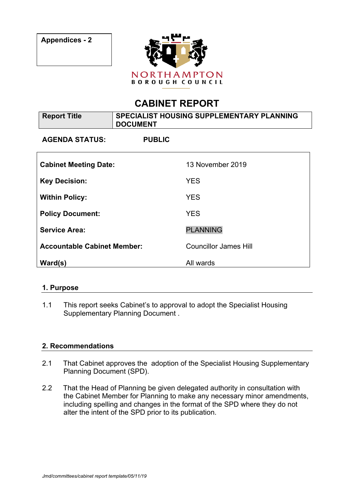

# **CABINET REPORT**

| <b>Report Title</b>                | SPECIALIST HOUSING SUPPLEMENTARY PLANNING<br><b>DOCUMENT</b> |                              |
|------------------------------------|--------------------------------------------------------------|------------------------------|
| <b>AGENDA STATUS:</b>              | <b>PUBLIC</b>                                                |                              |
| <b>Cabinet Meeting Date:</b>       |                                                              | 13 November 2019             |
| <b>Key Decision:</b>               |                                                              | <b>YES</b>                   |
| <b>Within Policy:</b>              |                                                              | <b>YES</b>                   |
| <b>Policy Document:</b>            |                                                              | <b>YES</b>                   |
| <b>Service Area:</b>               |                                                              | <b>PLANNING</b>              |
| <b>Accountable Cabinet Member:</b> |                                                              | <b>Councillor James Hill</b> |
| Ward(s)                            |                                                              | All wards                    |

## **1. Purpose**

1.1 This report seeks Cabinet's to approval to adopt the Specialist Housing Supplementary Planning Document .

#### **2. Recommendations**

- 2.1 That Cabinet approves the adoption of the Specialist Housing Supplementary Planning Document (SPD).
- 2.2 That the Head of Planning be given delegated authority in consultation with the Cabinet Member for Planning to make any necessary minor amendments, including spelling and changes in the format of the SPD where they do not alter the intent of the SPD prior to its publication.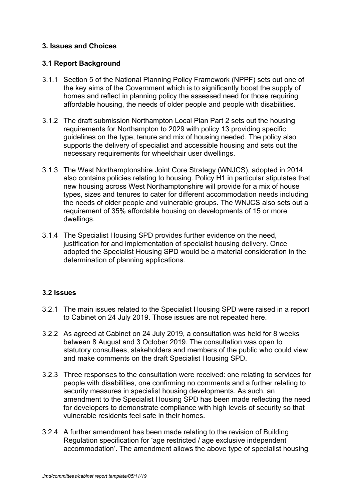#### **3. Issues and Choices**

#### **3.1 Report Background**

- 3.1.1 Section 5 of the National Planning Policy Framework (NPPF) sets out one of the key aims of the Government which is to significantly boost the supply of homes and reflect in planning policy the assessed need for those requiring affordable housing, the needs of older people and people with disabilities.
- 3.1.2 The draft submission Northampton Local Plan Part 2 sets out the housing requirements for Northampton to 2029 with policy 13 providing specific guidelines on the type, tenure and mix of housing needed. The policy also supports the delivery of specialist and accessible housing and sets out the necessary requirements for wheelchair user dwellings.
- 3.1.3 The West Northamptonshire Joint Core Strategy (WNJCS), adopted in 2014, also contains policies relating to housing. Policy H1 in particular stipulates that new housing across West Northamptonshire will provide for a mix of house types, sizes and tenures to cater for different accommodation needs including the needs of older people and vulnerable groups. The WNJCS also sets out a requirement of 35% affordable housing on developments of 15 or more dwellings.
- 3.1.4 The Specialist Housing SPD provides further evidence on the need, justification for and implementation of specialist housing delivery. Once adopted the Specialist Housing SPD would be a material consideration in the determination of planning applications.

## **3.2 Issues**

- 3.2.1 The main issues related to the Specialist Housing SPD were raised in a report to Cabinet on 24 July 2019. Those issues are not repeated here.
- 3.2.2 As agreed at Cabinet on 24 July 2019, a consultation was held for 8 weeks between 8 August and 3 October 2019. The consultation was open to statutory consultees, stakeholders and members of the public who could view and make comments on the draft Specialist Housing SPD.
- 3.2.3 Three responses to the consultation were received: one relating to services for people with disabilities, one confirming no comments and a further relating to security measures in specialist housing developments. As such, an amendment to the Specialist Housing SPD has been made reflecting the need for developers to demonstrate compliance with high levels of security so that vulnerable residents feel safe in their homes.
- 3.2.4 A further amendment has been made relating to the revision of Building Regulation specification for 'age restricted / age exclusive independent accommodation'. The amendment allows the above type of specialist housing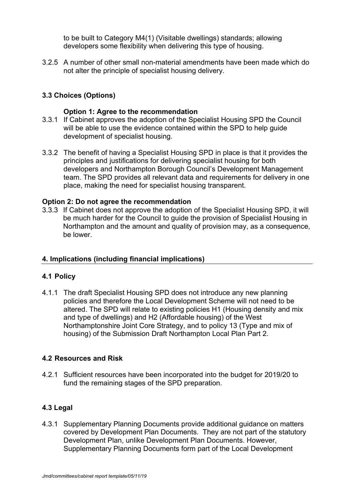to be built to Category M4(1) (Visitable dwellings) standards; allowing developers some flexibility when delivering this type of housing.

3.2.5 A number of other small non-material amendments have been made which do not alter the principle of specialist housing delivery.

# **3.3 Choices (Options)**

#### **Option 1: Agree to the recommendation**

- 3.3.1 If Cabinet approves the adoption of the Specialist Housing SPD the Council will be able to use the evidence contained within the SPD to help guide development of specialist housing.
- 3.3.2 The benefit of having a Specialist Housing SPD in place is that it provides the principles and justifications for delivering specialist housing for both developers and Northampton Borough Council's Development Management team. The SPD provides all relevant data and requirements for delivery in one place, making the need for specialist housing transparent.

#### **Option 2: Do not agree the recommendation**

3.3.3 If Cabinet does not approve the adoption of the Specialist Housing SPD, it will be much harder for the Council to guide the provision of Specialist Housing in Northampton and the amount and quality of provision may, as a consequence, be lower.

## **4. Implications (including financial implications)**

## **4.1 Policy**

4.1.1 The draft Specialist Housing SPD does not introduce any new planning policies and therefore the Local Development Scheme will not need to be altered. The SPD will relate to existing policies H1 (Housing density and mix and type of dwellings) and H2 (Affordable housing) of the West Northamptonshire Joint Core Strategy, and to policy 13 (Type and mix of housing) of the Submission Draft Northampton Local Plan Part 2.

## **4.2 Resources and Risk**

4.2.1 Sufficient resources have been incorporated into the budget for 2019/20 to fund the remaining stages of the SPD preparation.

## **4.3 Legal**

4.3.1 Supplementary Planning Documents provide additional guidance on matters covered by Development Plan Documents. They are not part of the statutory Development Plan, unlike Development Plan Documents. However, Supplementary Planning Documents form part of the Local Development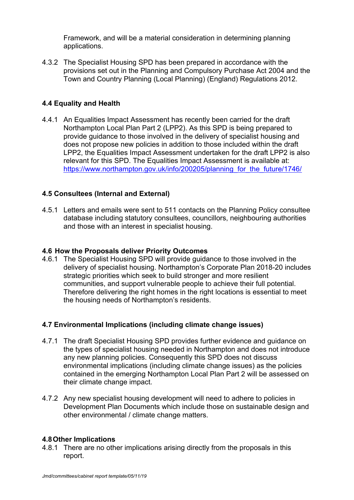Framework, and will be a material consideration in determining planning applications.

4.3.2 The Specialist Housing SPD has been prepared in accordance with the provisions set out in the Planning and Compulsory Purchase Act 2004 and the Town and Country Planning (Local Planning) (England) Regulations 2012.

# **4.4 Equality and Health**

4.4.1 An Equalities Impact Assessment has recently been carried for the draft Northampton Local Plan Part 2 (LPP2). As this SPD is being prepared to provide guidance to those involved in the delivery of specialist housing and does not propose new policies in addition to those included within the draft LPP2, the Equalities Impact Assessment undertaken for the draft LPP2 is also relevant for this SPD. The Equalities Impact Assessment is available at: https://www.northampton.gov.uk/info/200205/planning\_for\_the\_future/1746/

## **4.5 Consultees (Internal and External)**

4.5.1 Letters and emails were sent to 511 contacts on the Planning Policy consultee database including statutory consultees, councillors, neighbouring authorities and those with an interest in specialist housing.

#### **4.6 How the Proposals deliver Priority Outcomes**

4.6.1 The Specialist Housing SPD will provide guidance to those involved in the delivery of specialist housing. Northampton's Corporate Plan 2018-20 includes strategic priorities which seek to build stronger and more resilient communities, and support vulnerable people to achieve their full potential. Therefore delivering the right homes in the right locations is essential to meet the housing needs of Northampton's residents.

#### **4.7 Environmental Implications (including climate change issues)**

- 4.7.1 The draft Specialist Housing SPD provides further evidence and guidance on the types of specialist housing needed in Northampton and does not introduce any new planning policies. Consequently this SPD does not discuss environmental implications (including climate change issues) as the policies contained in the emerging Northampton Local Plan Part 2 will be assessed on their climate change impact.
- 4.7.2 Any new specialist housing development will need to adhere to policies in Development Plan Documents which include those on sustainable design and other environmental / climate change matters.

#### **4.8Other Implications**

4.8.1 There are no other implications arising directly from the proposals in this report.